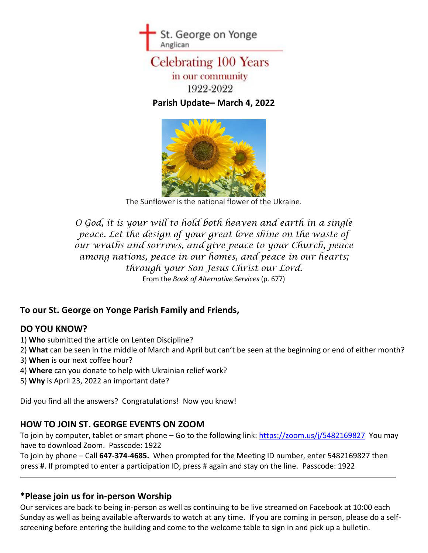

# **Celebrating 100 Years** in our community 1922-2022

**Parish Update– March 4, 2022**



The Sunflower is the national flower of the Ukraine.

*O God, it is your will to hold both heaven and earth in a single peace. Let the design of your great love shine on the waste of our wraths and sorrows, and give peace to your Church, peace among nations, peace in our homes, and peace in our hearts; through your Son Jesus Christ our Lord.* From the *Book of Alternative Services* (p. 677)

## **To our St. George on Yonge Parish Family and Friends,**

#### **DO YOU KNOW?**

- 1) **Who** submitted the article on Lenten Discipline?
- 2) **What** can be seen in the middle of March and April but can't be seen at the beginning or end of either month?
- 3) **When** is our next coffee hour?
- 4) **Where** can you donate to help with Ukrainian relief work?
- 5) **Why** is April 23, 2022 an important date?

Did you find all the answers? Congratulations! Now you know!

#### **HOW TO JOIN ST. GEORGE EVENTS ON ZOOM**

To join by computer, tablet or smart phone – Go to the following link: [https://zoom.us/j/5482169827](https://zoom.us/j/5482169827?pwd=VWJyNU9pWnBJbWhuQSthSThHR2dlQT09) You may have to download Zoom. Passcode: 1922

To join by phone – Call **647-374-4685.** When prompted for the Meeting ID number, enter 5482169827 then press **#**. If prompted to enter a participation ID, press # again and stay on the line. Passcode: 1922

#### **\*Please join us for in-person Worship**

Our services are back to being in-person as well as continuing to be live streamed on Facebook at 10:00 each Sunday as well as being available afterwards to watch at any time. If you are coming in person, please do a selfscreening before entering the building and come to the welcome table to sign in and pick up a bulletin.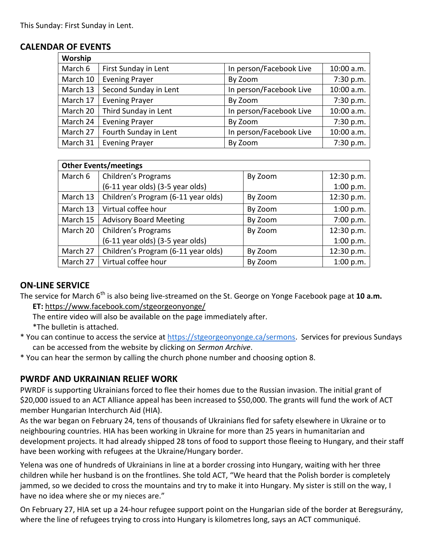#### **CALENDAR OF EVENTS**

| Worship  |                       |                         |            |
|----------|-----------------------|-------------------------|------------|
| March 6  | First Sunday in Lent  | In person/Facebook Live | 10:00 a.m. |
| March 10 | <b>Evening Prayer</b> | By Zoom                 | 7:30 p.m.  |
| March 13 | Second Sunday in Lent | In person/Facebook Live | 10:00 a.m. |
| March 17 | <b>Evening Prayer</b> | By Zoom                 | 7:30 p.m.  |
| March 20 | Third Sunday in Lent  | In person/Facebook Live | 10:00 a.m. |
| March 24 | <b>Evening Prayer</b> | By Zoom                 | 7:30 p.m.  |
| March 27 | Fourth Sunday in Lent | In person/Facebook Live | 10:00 a.m. |
| March 31 | <b>Evening Prayer</b> | By Zoom                 | 7:30 p.m.  |

| <b>Other Events/meetings</b> |                                     |         |            |  |
|------------------------------|-------------------------------------|---------|------------|--|
| March 6                      | Children's Programs                 | By Zoom | 12:30 p.m. |  |
|                              | (6-11 year olds) (3-5 year olds)    |         | 1:00 p.m.  |  |
| March 13                     | Children's Program (6-11 year olds) | By Zoom | 12:30 p.m. |  |
| March 13                     | Virtual coffee hour                 | By Zoom | 1:00 p.m.  |  |
| March 15                     | <b>Advisory Board Meeting</b>       | By Zoom | 7:00 p.m.  |  |
| March 20                     | Children's Programs                 | By Zoom | 12:30 p.m. |  |
|                              | (6-11 year olds) (3-5 year olds)    |         | 1:00 p.m.  |  |
| March 27                     | Children's Program (6-11 year olds) | By Zoom | 12:30 p.m. |  |
| March 27                     | Virtual coffee hour                 | By Zoom | 1:00 p.m.  |  |

## **ON-LINE SERVICE**

The service for March 6<sup>th</sup> is also being live-streamed on the St. George on Yonge Facebook page at 10 a.m. **ET:** <https://www.facebook.com/stgeorgeonyonge/>

The entire video will also be available on the page immediately after.

\*The bulletin is attached.

\* You can continue to access the service at [https://stgeorgeonyonge.ca/sermons.](https://stgeorgeonyonge.ca/sermons) Services for previous Sundays can be accessed from the website by clicking on *Sermon Archive*.

\* You can hear the sermon by calling the church phone number and choosing option 8.

## **PWRDF AND UKRAINIAN RELIEF WORK**

PWRDF is supporting Ukrainians forced to flee their homes due to the Russian invasion. The initial grant of \$20,000 issued to an ACT Alliance appeal has been increased to \$50,000. The grants will fund the work of ACT member Hungarian Interchurch Aid (HIA).

As the war began on February 24, tens of thousands of Ukrainians fled for safety elsewhere in Ukraine or to neighbouring countries. HIA has been working in Ukraine for more than 25 years in humanitarian and development projects. It had already shipped 28 tons of food to support those fleeing to Hungary, and their staff have been working with refugees at the Ukraine/Hungary border.

Yelena was one of hundreds of Ukrainians in line at a border crossing into Hungary, waiting with her three children while her husband is on the frontlines. She told ACT, "We heard that the Polish border is completely jammed, so we decided to cross the mountains and try to make it into Hungary. My sister is still on the way, I have no idea where she or my nieces are."

On February 27, HIA set up a 24-hour refugee support point on the Hungarian side of the border at Beregsurány, where the line of refugees trying to cross into Hungary is kilometres long, says an ACT communiqué.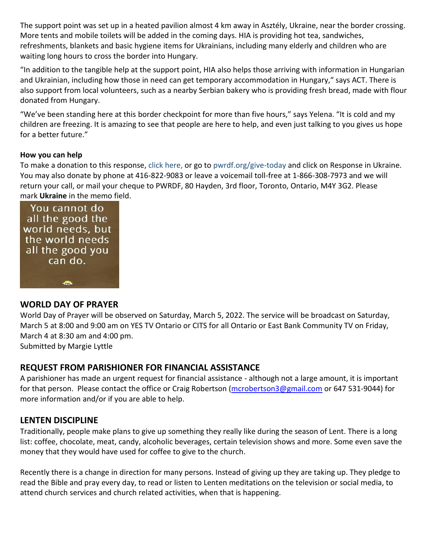The support point was set up in a heated pavilion almost 4 km away in Asztély, Ukraine, near the border crossing. More tents and mobile toilets will be added in the coming days. HIA is providing hot tea, sandwiches, refreshments, blankets and basic hygiene items for Ukrainians, including many elderly and children who are waiting long hours to cross the border into Hungary.

"In addition to the tangible help at the support point, HIA also helps those arriving with information in Hungarian and Ukrainian, including how those in need can get temporary accommodation in Hungary," says ACT. There is also support from local volunteers, such as a nearby Serbian bakery who is providing fresh bread, made with flour donated from Hungary.

"We've been standing here at this border checkpoint for more than five hours," says Yelena. "It is cold and my children are freezing. It is amazing to see that people are here to help, and even just talking to you gives us hope for a better future."

#### **How you can help**

To make a donation to this response, [click here,](https://interland3.donorperfect.net/weblink/WebLink.aspx?name=E344492QE&id=45) or go to [pwrdf.org/give-today](https://interland3.donorperfect.net/weblink/WebLink.aspx?name=E344492QE&id=45) and click on Response in Ukraine. You may also donate by phone at 416-822-9083 or leave a voicemail toll-free at 1-866-308-7973 and we will return your call, or mail your cheque to PWRDF, 80 Hayden, 3rd floor, Toronto, Ontario, M4Y 3G2. Please mark **Ukraine** in the memo field.

You cannot do all the good the world needs, but the world needs all the good you can do.  $\bullet$ 

#### **WORLD DAY OF PRAYER**

World Day of Prayer will be observed on Saturday, March 5, 2022. The service will be broadcast on Saturday, March 5 at 8:00 and 9:00 am on YES TV Ontario or CITS for all Ontario or East Bank Community TV on Friday, March 4 at 8:30 am and 4:00 pm.

Submitted by Margie Lyttle

#### **REQUEST FROM PARISHIONER FOR FINANCIAL ASSISTANCE**

A parishioner has made an urgent request for financial assistance - although not a large amount, it is important for that person. Please contact the office or Craig Robertson [\(mcrobertson3@gmail.com](mailto:mcrobertson3@gmail.com) or 647 531-9044) for more information and/or if you are able to help.

#### **LENTEN DISCIPLINE**

Traditionally, people make plans to give up something they really like during the season of Lent. There is a long list: coffee, chocolate, meat, candy, alcoholic beverages, certain television shows and more. Some even save the money that they would have used for coffee to give to the church.

Recently there is a change in direction for many persons. Instead of giving up they are taking up. They pledge to read the Bible and pray every day, to read or listen to Lenten meditations on the television or social media, to attend church services and church related activities, when that is happening.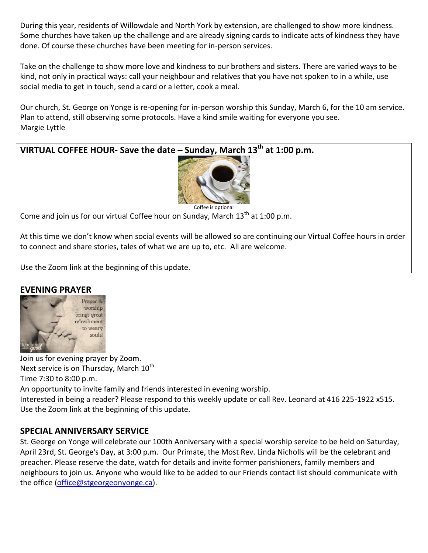During this year, residents of Willowdale and North York by extension, are challenged to show more kindness. Some churches have taken up the challenge and are already signing cards to indicate acts of kindness they have done. Of course these churches have been meeting for in-person services.

Take on the challenge to show more love and kindness to our brothers and sisters. There are varied ways to be kind, not only in practical ways: call your neighbour and relatives that you have not spoken to in a while, use social media to get in touch, send a card or a letter, cook a meal.

Our church, St. George on Yonge is re-opening for in-person worship this Sunday, March 6, for the 10 am service. Plan to attend, still observing some protocols. Have a kind smile waiting for everyone you see. Margie Lyttle



Come and join us for our virtual Coffee hour on Sunday, March  $13<sup>th</sup>$  at 1:00 p.m.

At this time we don't know when social events will be allowed so are continuing our Virtual Coffee hours in order to connect and share stories, tales of what we are up to, etc. All are welcome.

Use the Zoom link at the beginning of this update.

#### **EVENING PRAYER**



Join us for evening prayer by Zoom. Next service is on Thursday, March  $10^{th}$ Time 7:30 to 8:00 p.m. An opportunity to invite family and friends interested in evening worship.

Interested in being a reader? Please respond to this weekly update or call Rev. Leonard at 416 225-1922 x515. Use the Zoom link at the beginning of this update.

#### **SPECIAL ANNIVERSARY SERVICE**

St. George on Yonge will celebrate our 100th Anniversary with a special worship service to be held on Saturday, April 23rd, St. George's Day, at 3:00 p.m. Our Primate, the Most Rev. Linda Nicholls will be the celebrant and preacher. Please reserve the date, watch for details and invite former parishioners, family members and neighbours to join us. Anyone who would like to be added to our Friends contact list should communicate with the office [\(office@stgeorgeonyonge.ca\)](mailto:office@stgeorgeonyonge.ca).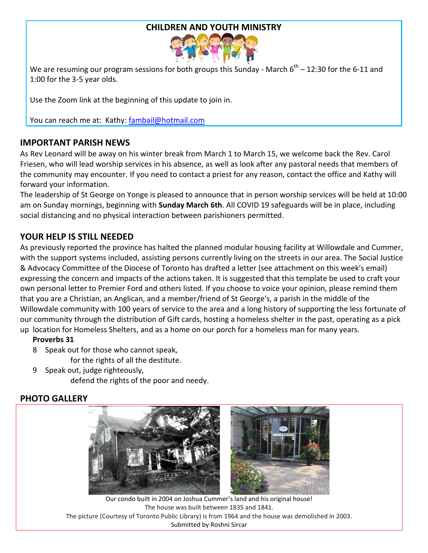#### **CHILDREN AND YOUTH MINISTRY**



We are resuming our program sessions for both groups this Sunday - March  $6^{\text{th}}$  – 12:30 for the 6-11 and 1:00 for the 3-5 year olds.

Use the Zoom link at the beginning of this update to join in.

You can reach me at: Kathy: [fambail@hotmail.com](mailto:fambail@hotmail.com)

## **IMPORTANT PARISH NEWS**

As Rev Leonard will be away on his winter break from March 1 to March 15, we welcome back the Rev. Carol Friesen, who will lead worship services in his absence, as well as look after any pastoral needs that members of the community may encounter. If you need to contact a priest for any reason, contact the office and Kathy will forward your information.

The leadership of St George on Yonge is pleased to announce that in person worship services will be held at 10:00 am on Sunday mornings, beginning with **Sunday March 6th**. All COVID 19 safeguards will be in place, including social distancing and no physical interaction between parishioners permitted.

## **YOUR HELP IS STILL NEEDED**

As previously reported the province has halted the planned modular housing facility at Willowdale and Cummer, with the support systems included, assisting persons currently living on the streets in our area. The Social Justice & Advocacy Committee of the Diocese of Toronto has drafted a letter (see attachment on this week's email) expressing the concern and impacts of the actions taken. It is suggested that this template be used to craft your own personal letter to Premier Ford and others listed. If you choose to voice your opinion, please remind them that you are a Christian, an Anglican, and a member/friend of St George's, a parish in the middle of the Willowdale community with 100 years of service to the area and a long history of supporting the less fortunate of our community through the distribution of Gift cards, hosting a homeless shelter in the past, operating as a pick up location for Homeless Shelters, and as a home on our porch for a homeless man for many years.

#### **Proverbs 31**

- 8 Speak out for those who cannot speak,
	- for the rights of all the destitute.
- 9 Speak out, judge righteously, defend the rights of the poor and needy.

## **PHOTO GALLERY**



Our condo built in 2004 on Joshua Cummer's land and his original house! The house was built between 1835 and 1841. The picture (Courtesy of Toronto Public Library) is from 1964 and the house was demolished in 2003. Submitted by Roshni Sircar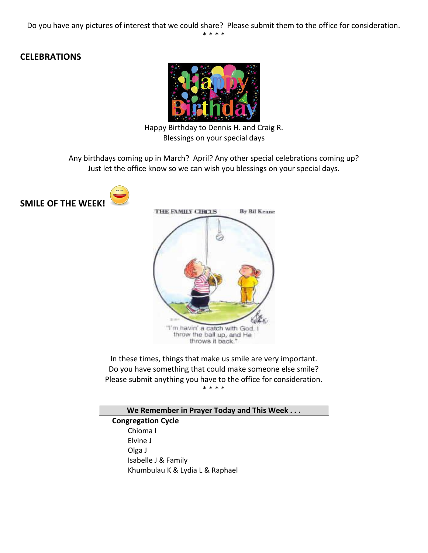## **CELEBRATIONS**



Happy Birthday to Dennis H. and Craig R. Blessings on your special days

Any birthdays coming up in March? April? Any other special celebrations coming up? Just let the office know so we can wish you blessings on your special days.





In these times, things that make us smile are very important. Do you have something that could make someone else smile? Please submit anything you have to the office for consideration. \* \* \* \*

| We Remember in Prayer Today and This Week |  |  |
|-------------------------------------------|--|--|
| <b>Congregation Cycle</b>                 |  |  |
| Chioma I                                  |  |  |
| Elvine J                                  |  |  |
| Olga J                                    |  |  |
| Isabelle J & Family                       |  |  |
| Khumbulau K & Lydia L & Raphael           |  |  |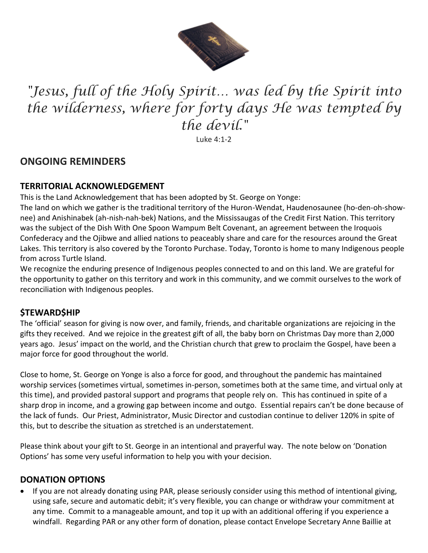

# *"Jesus, full of the Holy Spirit… was led by the Spirit into the wilderness, where for forty days He was tempted by the devil."*

Luke 4:1-2

## **ONGOING REMINDERS**

#### **TERRITORIAL ACKNOWLEDGEMENT**

This is the Land Acknowledgement that has been adopted by St. George on Yonge:

The land on which we gather is the traditional territory of the Huron-Wendat, Haudenosaunee (ho-den-oh-shownee) and Anishinabek (ah-nish-nah-bek) Nations, and the Mississaugas of the Credit First Nation. This territory was the subject of the Dish With One Spoon Wampum Belt Covenant, an agreement between the Iroquois Confederacy and the Ojibwe and allied nations to peaceably share and care for the resources around the Great Lakes. This territory is also covered by the Toronto Purchase. Today, Toronto is home to many Indigenous people from across Turtle Island.

We recognize the enduring presence of Indigenous peoples connected to and on this land. We are grateful for the opportunity to gather on this territory and work in this community, and we commit ourselves to the work of reconciliation with Indigenous peoples.

## **\$TEWARD\$HIP**

The 'official' season for giving is now over, and family, friends, and charitable organizations are rejoicing in the gifts they received. And we rejoice in the greatest gift of all, the baby born on Christmas Day more than 2,000 years ago. Jesus' impact on the world, and the Christian church that grew to proclaim the Gospel, have been a major force for good throughout the world.

Close to home, St. George on Yonge is also a force for good, and throughout the pandemic has maintained worship services (sometimes virtual, sometimes in-person, sometimes both at the same time, and virtual only at this time), and provided pastoral support and programs that people rely on. This has continued in spite of a sharp drop in income, and a growing gap between income and outgo. Essential repairs can't be done because of the lack of funds. Our Priest, Administrator, Music Director and custodian continue to deliver 120% in spite of this, but to describe the situation as stretched is an understatement.

Please think about your gift to St. George in an intentional and prayerful way. The note below on 'Donation Options' has some very useful information to help you with your decision.

## **DONATION OPTIONS**

 If you are not already donating using PAR, please seriously consider using this method of intentional giving, using safe, secure and automatic debit; it's very flexible, you can change or withdraw your commitment at any time. Commit to a manageable amount, and top it up with an additional offering if you experience a windfall. Regarding PAR or any other form of donation, please contact Envelope Secretary Anne Baillie at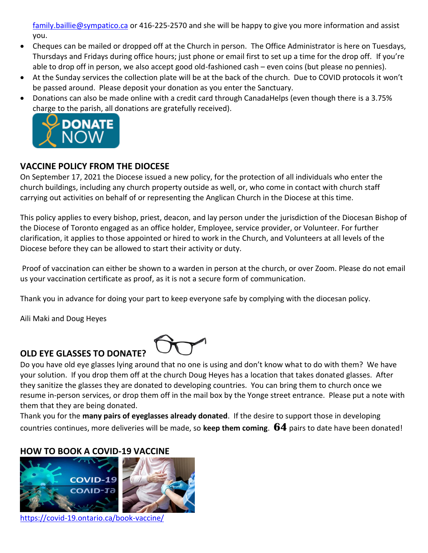[family.baillie@sympatico.ca](mailto:family.baillie@sympatico.ca) or 416-225-2570 and she will be happy to give you more information and assist you.

- Cheques can be mailed or dropped off at the Church in person. The Office Administrator is here on Tuesdays, Thursdays and Fridays during office hours; just phone or email first to set up a time for the drop off. If you're able to drop off in person, we also accept good old-fashioned cash – even coins (but please no pennies).
- At the Sunday services the collection plate will be at the back of the church. Due to COVID protocols it won't be passed around. Please deposit your donation as you enter the Sanctuary.
- Donations can also be made online with a credit card through CanadaHelps (even though there is a 3.75% [charge to the parish, all do](https://www.canadahelps.org/CharityProfilePage.aspx?CharityID=d28998)nations are gratefully received).



## **VACCINE POLICY FROM THE DIOCESE**

On September 17, 2021 the Diocese issued a new policy, for the protection of all individuals who enter the church buildings, including any church property outside as well, or, who come in contact with church staff carrying out activities on behalf of or representing the Anglican Church in the Diocese at this time.

This policy applies to every bishop, priest, deacon, and lay person under the jurisdiction of the Diocesan Bishop of the Diocese of Toronto engaged as an office holder, Employee, service provider, or Volunteer. For further clarification, it applies to those appointed or hired to work in the Church, and Volunteers at all levels of the Diocese before they can be allowed to start their activity or duty.

Proof of vaccination can either be shown to a warden in person at the church, or over Zoom. Please do not email us your vaccination certificate as proof, as it is not a secure form of communication.

Thank you in advance for doing your part to keep everyone safe by complying with the diocesan policy.

Aili Maki and Doug Heyes



## **OLD EYE GLASSES TO DONATE?**

Do you have old eye glasses lying around that no one is using and don't know what to do with them? We have your solution. If you drop them off at the church Doug Heyes has a location that takes donated glasses. After they sanitize the glasses they are donated to developing countries. You can bring them to church once we resume in-person services, or drop them off in the mail box by the Yonge street entrance. Please put a note with them that they are being donated.

Thank you for the **many pairs of eyeglasses already donated**. If the desire to support those in developing countries continues, more deliveries will be made, so **keep them coming**. **64** pairs to date have been donated!

## **HOW TO BOOK A COVID-19 VACCINE**



<https://covid-19.ontario.ca/book-vaccine/>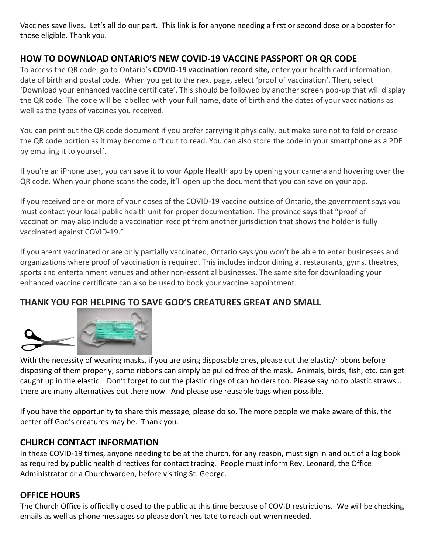Vaccines save lives. Let's all do our part. This link is for anyone needing a first or second dose or a booster for those eligible. Thank you.

## **HOW TO DOWNLOAD ONTARIO'S NEW COVID-19 VACCINE PASSPORT OR QR CODE**

To access the QR code, go to Ontario's **[COVID-19 vaccination record site,](https://covid19.ontariohealth.ca/app-identity?viewId=JKH22JRXBHCT)** enter your health card information, date of birth and postal code. When you get to the next page, select 'proof of vaccination'. Then, select 'Download your enhanced vaccine certificate'. This should be followed by another screen pop-up that will display the QR code. The code will be labelled with your full name, date of birth and the dates of your vaccinations as well as the types of vaccines you received.

You can print out the QR code document if you prefer carrying it physically, but make sure not to fold or crease the QR code portion as it may become difficult to read. You can also store the code in your smartphone as a PDF by emailing it to yourself.

If you're an iPhone user, you can save it to your Apple Health app by opening your camera and hovering over the QR code. When your phone scans the code, it'll open up the document that you can save on your app.

If you received one or more of your doses of the COVID-19 vaccine outside of Ontario, the government says you must contact [your local public health unit](https://www.phdapps.health.gov.on.ca/phulocator/) for proper documentation. The province says that "[proof of](https://covid-19.ontario.ca/proof-covid-19-vaccination)  [vaccination](https://covid-19.ontario.ca/proof-covid-19-vaccination) may also include a vaccination receipt from another jurisdiction that shows the holder is fully vaccinated against COVID-19."

If you aren't vaccinated or are only partially vaccinated, Ontario says you won't be able to enter businesses and organizations where proof of vaccination is required. This includes indoor dining at restaurants, gyms, theatres, sports and entertainment venues and other non-essential businesses. The same site for downloading your enhanced vaccine certificate can also be used to [book your vaccine appointment.](https://covid-19.ontario.ca/book-vaccine/)

## **THANK YOU FOR HELPING TO SAVE GOD'S CREATURES GREAT AND SMALL**



With the necessity of wearing masks, if you are using disposable ones, please cut the elastic/ribbons before disposing of them properly; some ribbons can simply be pulled free of the mask. Animals, birds, fish, etc. can get caught up in the elastic. Don't forget to cut the plastic rings of can holders too. Please say no to plastic straws… there are many alternatives out there now. And please use reusable bags when possible.

If you have the opportunity to share this message, please do so. The more people we make aware of this, the better off God's creatures may be. Thank you.

## **CHURCH CONTACT INFORMATION**

In these COVID-19 times, anyone needing to be at the church, for any reason, must sign in and out of a log book as required by public health directives for contact tracing. People must inform Rev. Leonard, the Office Administrator or a Churchwarden, before visiting St. George.

#### **OFFICE HOURS**

The Church Office is officially closed to the public at this time because of COVID restrictions. We will be checking emails as well as phone messages so please don't hesitate to reach out when needed.